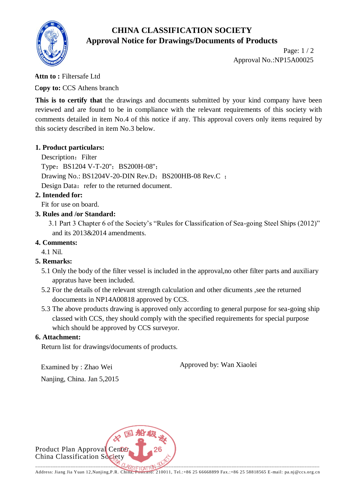# **CHINA CLASSIFICATION SOCIETY Approval Notice for Drawings/Documents of Products**



Page: 1 / 2 Approval No.:NP15A00025

## **Attn to :** Filtersafe Ltd

**Copy to:** CCS Athens branch

This is to certify that the drawings and documents submitted by your kind company have been reviewed and are found to be in compliance with the relevant requirements of this society with comments detailed in item No.4 of this notice if any. This approval covers only items required by this society described in item No.3 below.

## **1. Product particulars:**

Description: Filter Type: BS1204 V-T-20"; BS200H-08"; Drawing No.:  $BS1204V-20-DIN$  Rev.D;  $BS200HB-08$  Rev.C ; Design Data: refer to the returned document.

## **2. Intended for:**

Fit for use on board.

## **3. Rules and /or Standard:**

 3.1 Part 3 Chapter 6 of the Society's "Rules for Classification of Sea-going Steel Ships (2012)" and its 2013&2014 amendments.

## **4. Comments:**

4.1 Nil.

## **5. Remarks:**

- 5.1 Only the body of the filter vessel is included in the approval,no other filter parts and auxiliary appratus have been included.
- 5.2 For the details of the relevant strength calculation and other dicuments ,see the returned doocuments in NP14A00818 approved by CCS.
- 5.3 The above products drawing is approved only according to general purpose for sea-going ship classed with CCS, they should comply with the specified requirements for special purpose which should be approved by CCS surveyor.

## **6. Attachment:**

Return list for drawings/documents of products.

Examined by : Zhao Wei

Approved by: Wan Xiaolei

Nanjing, China. Jan 5,2015